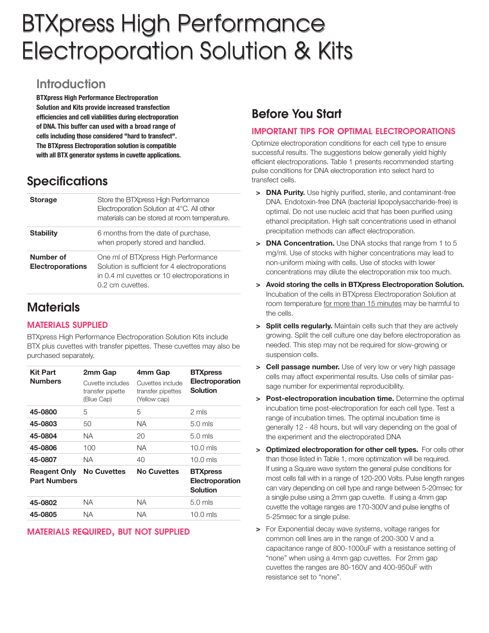# BTXpress High Performance Electroporation Solution & Kits

# **Introduction**

**BTXpress High Performance Electroporation Solution and Kits provide increased transfection efficiencies and cell viabilities during electroporation of DNA. This buffer can used with a broad range of cells including those considered "hard to transfect". The BTXpress Electroporation solution is compatible with all BTX generator systems in cuvette applications.**

# **Specifications**

| <b>Storage</b>                | Store the BTXpress High Performance<br>Electroporation Solution at 4°C. All other<br>materials can be stored at room temperature.                        |
|-------------------------------|----------------------------------------------------------------------------------------------------------------------------------------------------------|
| <b>Stability</b>              | 6 months from the date of purchase,<br>when properly stored and handled.                                                                                 |
| Number of<br>Electroporations | One ml of BTXpress High Performance<br>Solution is sufficient for 4 electroporations<br>in 0.4 ml cuvettes or 10 electroporations in<br>0.2 cm cuvettes. |

# **Materials**

### **MATERIALS SUPPLIED**

BTXpress High Performance Electroporation Solution Kits include BTX plus cuvettes with transfer pipettes. These cuvettes may also be purchased separately.

| <b>Kit Part</b><br><b>Numbers</b>          | 2mm Gap<br>Cuvette includes<br>transfer pipette<br>(Blue Cap) | 4mm Gap<br>Cuvettes include<br>transfer pipettes<br>(Yellow cap) | <b>BTXpress</b><br>Electroporation<br><b>Solution</b> |
|--------------------------------------------|---------------------------------------------------------------|------------------------------------------------------------------|-------------------------------------------------------|
| 45-0800                                    | 5                                                             | 5                                                                | 2 mls                                                 |
| 45-0803                                    | 50                                                            | NA.                                                              | $5.0$ mls                                             |
| 45-0804                                    | NА                                                            | 20                                                               | $5.0$ mls                                             |
| 45-0806                                    | 100                                                           | <b>NA</b>                                                        | $10.0$ mls                                            |
| 45-0807                                    | NА                                                            | 40                                                               | $10.0$ mls                                            |
| <b>Reagent Only</b><br><b>Part Numbers</b> | <b>No Cuvettes</b>                                            | <b>No Cuvettes</b>                                               | <b>BTXpress</b><br>Electroporation<br><b>Solution</b> |
| 45-0802                                    | NА                                                            | NA.                                                              | $5.0$ mls                                             |
| 45-0805                                    | NА                                                            | NA                                                               | $10.0$ mls                                            |

### **MATERIALS REQUIRED, BUT NOT SUPPLIED**

# **Before You Start**

### **IMPORTANT TIPS FOR OPTIMAL ELECTROPORATIONS**

Optimize electroporation conditions for each cell type to ensure successful results. The suggestions below generally yield highly efficient electroporations. Table 1 presents recommended starting pulse conditions for DNA electroporation into select hard to transfect cells.

- **> DNA Purity.** Use highly purified, sterile, and contaminant-free DNA. Endotoxin-free DNA (bacterial lipopolysaccharide-free) is optimal. Do not use nucleic acid that has been purified using ethanol precipitation. High salt concentrations used in ethanol precipitation methods can affect electroporation.
- **> DNA Concentration.** Use DNA stocks that range from 1 to 5 mg/ml. Use of stocks with higher concentrations may lead to non-uniform mixing with cells. Use of stocks with lower concentrations may dilute the electroporation mix too much.
- **> Avoid storing the cells in BTXpress Electroporation Solution.** Incubation of the cells in BTXpress Electroporation Solution at room temperature for more than 15 minutes may be harmful to the cells.
- **> Split cells regularly.** Maintain cells such that they are actively growing. Split the cell culture one day before electroporation as needed. This step may not be required for slow-growing or suspension cells.
- **> Cell passage number.** Use of very low or very high passage cells may affect experimental results. Use cells of similar passage number for experimental reproducibility.
- **> Post-electroporation incubation time.** Determine the optimal incubation time post-electroporation for each cell type. Test a range of incubation times. The optimal incubation time is generally 12 - 48 hours, but will vary depending on the goal of the experiment and the electroporated DNA
- **> Optimized electroporation for other cell types.** For cells other than those listed in Table 1, more optimization will be required. If using a Square wave system the general pulse conditions for most cells fall with in a range of 120-200 Volts. Pulse length ranges can vary depending on cell type and range between 5-20msec for a single pulse using a 2mm gap cuvette. If using a 4mm gap cuvette the voltage ranges are 170-300V and pulse lengths of 5-25msec for a single pulse.
- **>** For Exponential decay wave systems, voltage ranges for common cell lines are in the range of 200-300 V and a capacitance range of 800-1000uF with a resistance setting of "none" when using a 4mm gap cuvettes. For 2mm gap cuvettes the ranges are 80-160V and 400-950uF with resistance set to "none".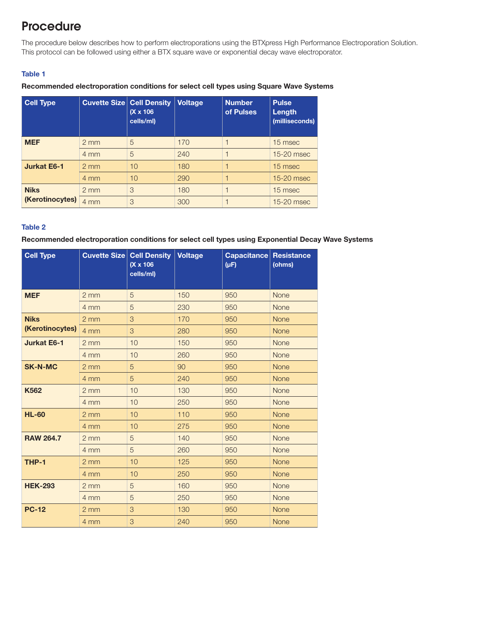# **Procedure**

The procedure below describes how to perform electroporations using the BTXpress High Performance Electroporation Solution. This protocol can be followed using either a BTX square wave or exponential decay wave electroporator.

#### **Table 1**

#### **Recommended electroporation conditions for select cell types using Square Wave Systems**

| <b>Cell Type</b>               | <b>Cuvette Size Cell Density</b> | $(X \times 106)$<br>cells/ml) | <b>Voltage</b> | <b>Number</b><br>of Pulses | <b>Pulse</b><br>Length<br>(milliseconds) |
|--------------------------------|----------------------------------|-------------------------------|----------------|----------------------------|------------------------------------------|
| <b>MEF</b>                     | $2 \, \text{mm}$                 | 5                             | 170            |                            | 15 msec                                  |
|                                | $4 \text{ mm}$                   | 5                             | 240            |                            | 15-20 msec                               |
| <b>Jurkat E6-1</b>             | $2 \, \text{mm}$                 | 10                            | 180            |                            | 15 msec                                  |
|                                | 4 mm                             | 10                            | 290            |                            | 15-20 msec                               |
| <b>Niks</b><br>(Kerotinocytes) | $2 \, \text{mm}$                 | 3                             | 180            |                            | 15 msec                                  |
|                                | 4 mm                             | 3                             | 300            |                            | 15-20 msec                               |

#### **Table 2**

#### **Recommended electroporation conditions for select cell types using Exponential Decay Wave Systems**

| <b>Cell Type</b>               | <b>Cuvette Size Cell Density</b> | $(X \times 106)$<br>cells/ml) | <b>Voltage</b> | Capacitance<br>$(\mu F)$ | <b>Resistance</b><br>(ohms) |
|--------------------------------|----------------------------------|-------------------------------|----------------|--------------------------|-----------------------------|
| <b>MEF</b>                     | $2 \, \text{mm}$                 | 5                             | 150            | 950                      | <b>None</b>                 |
|                                | 4 mm                             | 5                             | 230            | 950                      | <b>None</b>                 |
| <b>Niks</b><br>(Kerotinocytes) | 2 <sub>mm</sub>                  | 3                             | 170            | 950                      | <b>None</b>                 |
|                                | 4 mm                             | 3                             | 280            | 950                      | None                        |
| <b>Jurkat E6-1</b>             | $2 \, \text{mm}$                 | 10                            | 150            | 950                      | <b>None</b>                 |
|                                | 4 mm                             | 10                            | 260            | 950                      | <b>None</b>                 |
| <b>SK-N-MC</b>                 | 2 <sub>mm</sub>                  | 5                             | 90             | 950                      | <b>None</b>                 |
|                                | 4 mm                             | 5                             | 240            | 950                      | <b>None</b>                 |
| <b>K562</b>                    | 2 <sub>mm</sub>                  | 10                            | 130            | 950                      | None                        |
|                                | 4 mm                             | 10                            | 250            | 950                      | <b>None</b>                 |
| <b>HL-60</b>                   | $2 \, \text{mm}$                 | 10                            | 110            | 950                      | <b>None</b>                 |
|                                | 4 mm                             | 10                            | 275            | 950                      | <b>None</b>                 |
| <b>RAW 264.7</b>               | 2mm                              | 5                             | 140            | 950                      | None                        |
|                                | 4 mm                             | 5                             | 260            | 950                      | <b>None</b>                 |
| THP-1                          | 2 <sub>mm</sub>                  | 10                            | 125            | 950                      | None                        |
|                                | 4 mm                             | 10                            | 250            | 950                      | <b>None</b>                 |
| <b>HEK-293</b>                 | $2 \, \text{mm}$                 | 5                             | 160            | 950                      | <b>None</b>                 |
|                                | 4 mm                             | 5                             | 250            | 950                      | None                        |
| <b>PC-12</b>                   | $2 \, \text{mm}$                 | 3                             | 130            | 950                      | <b>None</b>                 |
|                                | 4 mm                             | 3                             | 240            | 950                      | <b>None</b>                 |